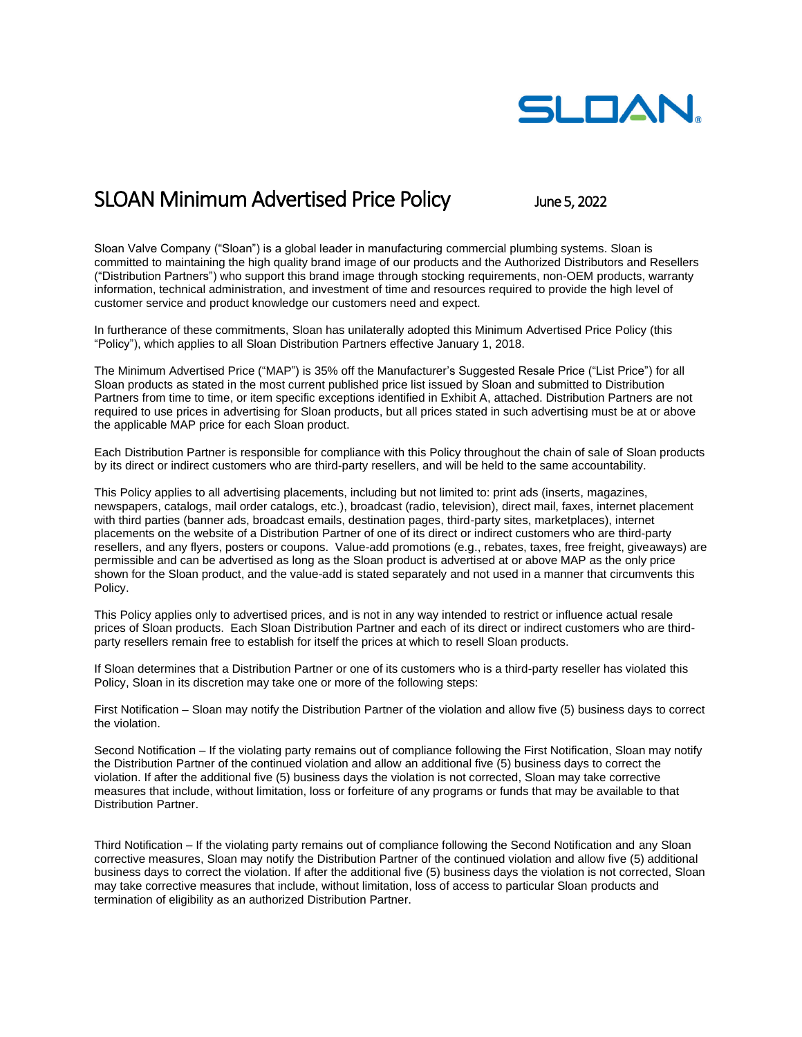

## SLOAN Minimum Advertised Price Policy June 5, 2022

Sloan Valve Company ("Sloan") is a global leader in manufacturing commercial plumbing systems. Sloan is committed to maintaining the high quality brand image of our products and the Authorized Distributors and Resellers ("Distribution Partners") who support this brand image through stocking requirements, non-OEM products, warranty information, technical administration, and investment of time and resources required to provide the high level of customer service and product knowledge our customers need and expect.

In furtherance of these commitments, Sloan has unilaterally adopted this Minimum Advertised Price Policy (this "Policy"), which applies to all Sloan Distribution Partners effective January 1, 2018.

The Minimum Advertised Price ("MAP") is 35% off the Manufacturer's Suggested Resale Price ("List Price") for all Sloan products as stated in the most current published price list issued by Sloan and submitted to Distribution Partners from time to time, or item specific exceptions identified in Exhibit A, attached. Distribution Partners are not required to use prices in advertising for Sloan products, but all prices stated in such advertising must be at or above the applicable MAP price for each Sloan product.

Each Distribution Partner is responsible for compliance with this Policy throughout the chain of sale of Sloan products by its direct or indirect customers who are third-party resellers, and will be held to the same accountability.

This Policy applies to all advertising placements, including but not limited to: print ads (inserts, magazines, newspapers, catalogs, mail order catalogs, etc.), broadcast (radio, television), direct mail, faxes, internet placement with third parties (banner ads, broadcast emails, destination pages, third-party sites, marketplaces), internet placements on the website of a Distribution Partner of one of its direct or indirect customers who are third-party resellers, and any flyers, posters or coupons. Value-add promotions (e.g., rebates, taxes, free freight, giveaways) are permissible and can be advertised as long as the Sloan product is advertised at or above MAP as the only price shown for the Sloan product, and the value-add is stated separately and not used in a manner that circumvents this Policy.

This Policy applies only to advertised prices, and is not in any way intended to restrict or influence actual resale prices of Sloan products. Each Sloan Distribution Partner and each of its direct or indirect customers who are thirdparty resellers remain free to establish for itself the prices at which to resell Sloan products.

If Sloan determines that a Distribution Partner or one of its customers who is a third-party reseller has violated this Policy, Sloan in its discretion may take one or more of the following steps:

First Notification – Sloan may notify the Distribution Partner of the violation and allow five (5) business days to correct the violation.

Second Notification – If the violating party remains out of compliance following the First Notification, Sloan may notify the Distribution Partner of the continued violation and allow an additional five (5) business days to correct the violation. If after the additional five (5) business days the violation is not corrected, Sloan may take corrective measures that include, without limitation, loss or forfeiture of any programs or funds that may be available to that Distribution Partner.

Third Notification – If the violating party remains out of compliance following the Second Notification and any Sloan corrective measures, Sloan may notify the Distribution Partner of the continued violation and allow five (5) additional business days to correct the violation. If after the additional five (5) business days the violation is not corrected, Sloan may take corrective measures that include, without limitation, loss of access to particular Sloan products and termination of eligibility as an authorized Distribution Partner.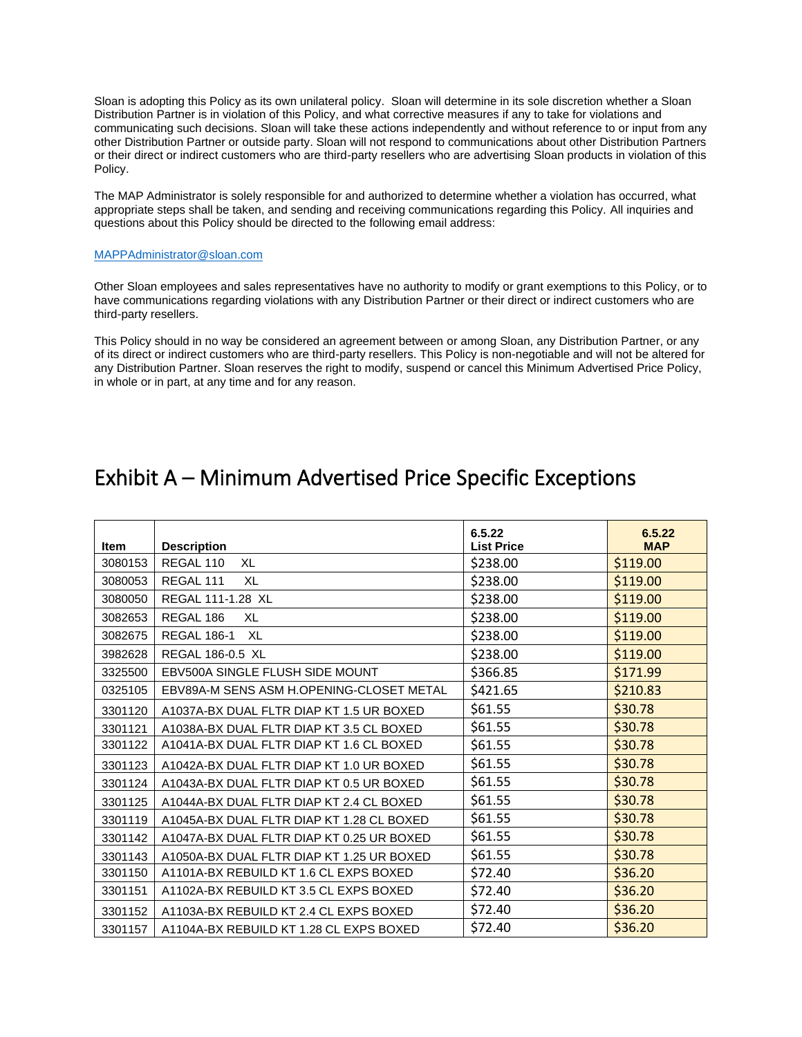Sloan is adopting this Policy as its own unilateral policy. Sloan will determine in its sole discretion whether a Sloan Distribution Partner is in violation of this Policy, and what corrective measures if any to take for violations and communicating such decisions. Sloan will take these actions independently and without reference to or input from any other Distribution Partner or outside party. Sloan will not respond to communications about other Distribution Partners or their direct or indirect customers who are third-party resellers who are advertising Sloan products in violation of this Policy.

The MAP Administrator is solely responsible for and authorized to determine whether a violation has occurred, what appropriate steps shall be taken, and sending and receiving communications regarding this Policy. All inquiries and questions about this Policy should be directed to the following email address:

## [MAPPAdministrator@sloan.com](mailto:MAPPAdministrator@sloan.com)

Other Sloan employees and sales representatives have no authority to modify or grant exemptions to this Policy, or to have communications regarding violations with any Distribution Partner or their direct or indirect customers who are third-party resellers.

This Policy should in no way be considered an agreement between or among Sloan, any Distribution Partner, or any of its direct or indirect customers who are third-party resellers. This Policy is non-negotiable and will not be altered for any Distribution Partner. Sloan reserves the right to modify, suspend or cancel this Minimum Advertised Price Policy, in whole or in part, at any time and for any reason.

## Exhibit A – Minimum Advertised Price Specific Exceptions

| <b>Item</b> | <b>Description</b>                        | 6.5.22<br><b>List Price</b> | 6.5.22<br><b>MAP</b> |
|-------------|-------------------------------------------|-----------------------------|----------------------|
| 3080153     | REGAL 110<br>XL                           | \$238.00                    | \$119.00             |
| 3080053     | REGAL 111<br>XL                           | \$238.00                    | \$119.00             |
| 3080050     | REGAL 111-1.28 XL                         | \$238.00                    | \$119.00             |
| 3082653     | REGAL 186<br>XL                           | \$238.00                    | \$119.00             |
| 3082675     | <b>REGAL 186-1</b><br>XL                  | \$238.00                    | \$119.00             |
| 3982628     | REGAL 186-0.5 XL                          | \$238.00                    | \$119.00             |
| 3325500     | EBV500A SINGLE FLUSH SIDE MOUNT           | \$366.85                    | \$171.99             |
| 0325105     | EBV89A-M SENS ASM H.OPENING-CLOSET METAL  | \$421.65                    | \$210.83             |
| 3301120     | A1037A-BX DUAL FLTR DIAP KT 1.5 UR BOXED  | \$61.55                     | \$30.78              |
| 3301121     | A1038A-BX DUAL FLTR DIAP KT 3.5 CL BOXED  | \$61.55                     | \$30.78              |
| 3301122     | A1041A-BX DUAL FLTR DIAP KT 1.6 CL BOXED  | \$61.55                     | \$30.78              |
| 3301123     | A1042A-BX DUAL FLTR DIAP KT 1.0 UR BOXED  | \$61.55                     | \$30.78              |
| 3301124     | A1043A-BX DUAL FLTR DIAP KT 0.5 UR BOXED  | \$61.55                     | \$30.78              |
| 3301125     | A1044A-BX DUAL FLTR DIAP KT 2.4 CL BOXED  | \$61.55                     | \$30.78              |
| 3301119     | A1045A-BX DUAL FLTR DIAP KT 1.28 CL BOXED | \$61.55                     | \$30.78              |
| 3301142     | A1047A-BX DUAL FLTR DIAP KT 0.25 UR BOXED | \$61.55                     | \$30.78              |
| 3301143     | A1050A-BX DUAL FLTR DIAP KT 1.25 UR BOXED | \$61.55                     | \$30.78              |
| 3301150     | A1101A-BX REBUILD KT 1.6 CL EXPS BOXED    | \$72.40                     | \$36.20              |
| 3301151     | A1102A-BX REBUILD KT 3.5 CL EXPS BOXED    | \$72.40                     | \$36.20              |
| 3301152     | A1103A-BX REBUILD KT 2.4 CL EXPS BOXED    | \$72.40                     | \$36.20              |
| 3301157     | A1104A-BX REBUILD KT 1.28 CL EXPS BOXED   | \$72.40                     | \$36.20              |